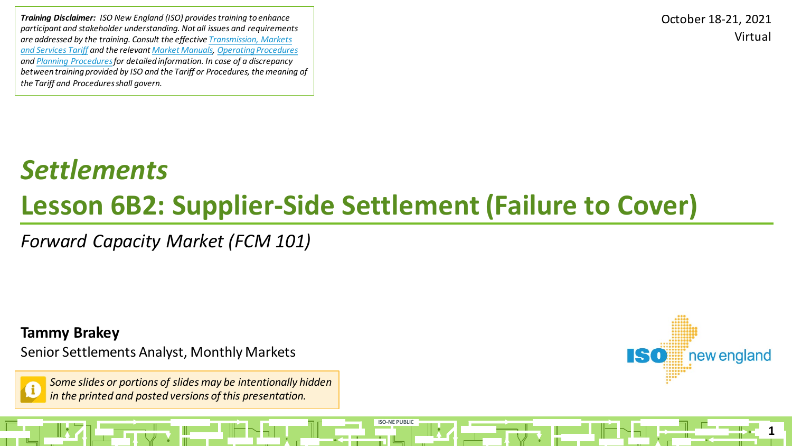*Training Disclaimer: ISO New England (ISO) provides training to enhance participant and stakeholder understanding. Not all issues and requirements [are addressed by the training. Consult the effective Transmission, Markets](http://www.iso-ne.com/regulatory/tariff/index.html)  and Services Tariff and the relevant [Market Manuals,](http://www.iso-ne.com/rules_proceds/isone_mnls/index.html) [Operating Procedures](http://www.iso-ne.com/rules_proceds/operating/index.html) and [Planning Procedures](http://www.iso-ne.com/rules_proceds/isone_plan/index.html)for detailed information. In case of a discrepancy between training provided by ISO and the Tariff or Procedures, the meaning of the Tariff and Procedures shall govern.*

Virtual October 18-21, 2021

## *Settlements* **Lesson 6B2: Supplier-Side Settlement (Failure to Cover)**

**ISO-NE PUBLIC**

*Forward Capacity Market (FCM 101)*

**Tammy Brakey**

Senior Settlements Analyst, Monthly Markets

*Some slides or portions of slides may be intentionally hidden in the printed and posted versions of this presentation.*

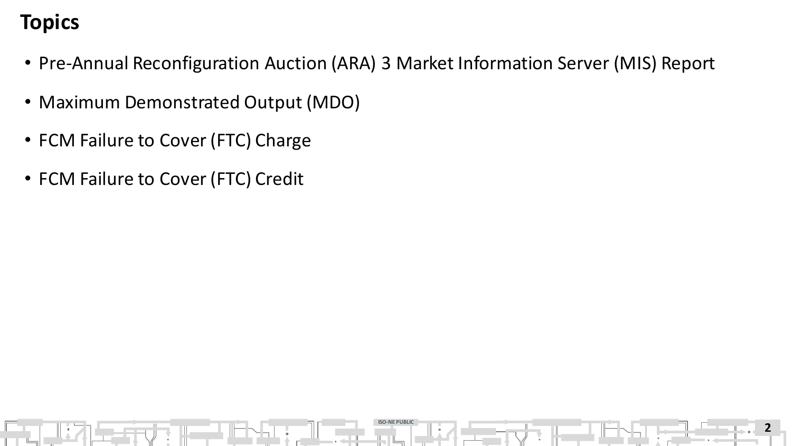#### **Topics**

- Pre-Annual Reconfiguration Auction (ARA) 3 Market Information Server (MIS) Report
- Maximum Demonstrated Output (MDO)
- FCM Failure to Cover (FTC) Charge
- FCM Failure to Cover (FTC) Credit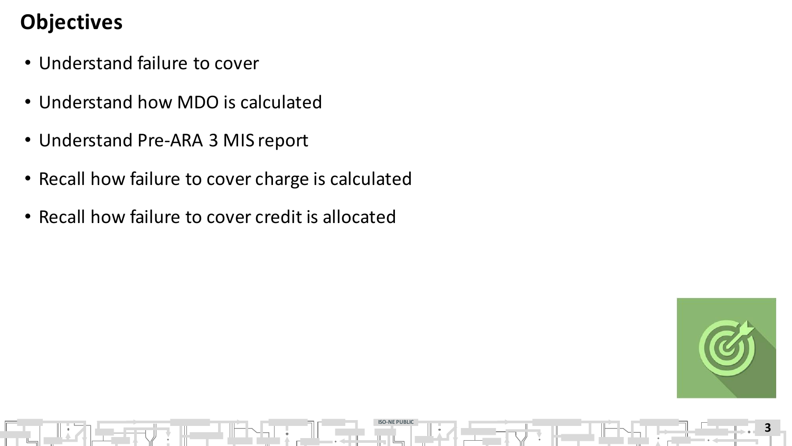#### **Objectives**

- Understand failure to cover
- Understand how MDO is calculated
- Understand Pre-ARA 3 MIS report
- Recall how failure to cover charge is calculated

**ISO-NE PUBLIC**

• Recall how failure to cover credit is allocated

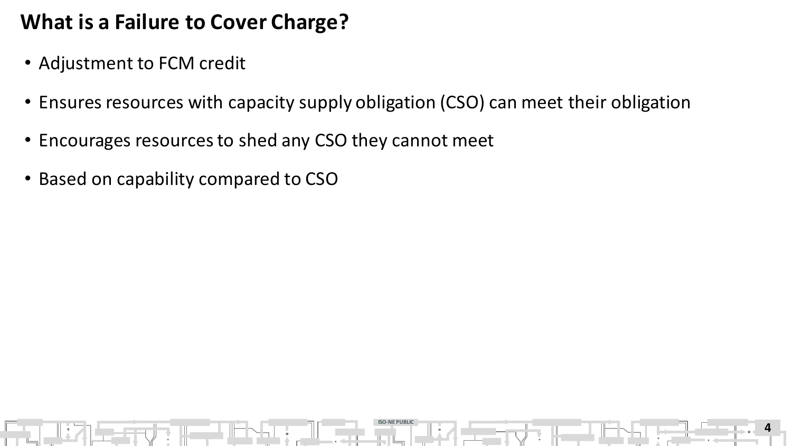#### **What is a Failure to Cover Charge?**

- Adjustment to FCM credit
- Ensures resources with capacity supply obligation (CSO) can meet their obligation

**ISO-NE PUBLIC**

- Encourages resources to shed any CSO they cannot meet
- Based on capability compared to CSO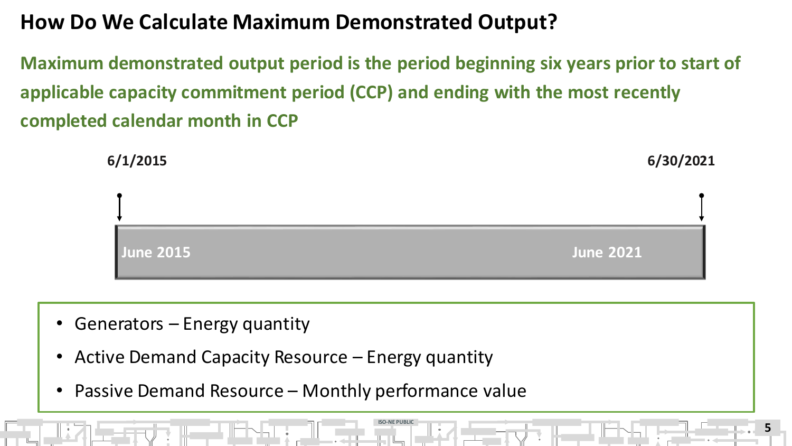#### **How Do We Calculate Maximum Demonstrated Output?**

**Maximum demonstrated output period is the period beginning six years prior to start of applicable capacity commitment period (CCP) and ending with the most recently completed calendar month in CCP**



**ISO-NE PUBLIC**

- Generators Energy quantity
- Active Demand Capacity Resource Energy quantity
- Passive Demand Resource Monthly performance value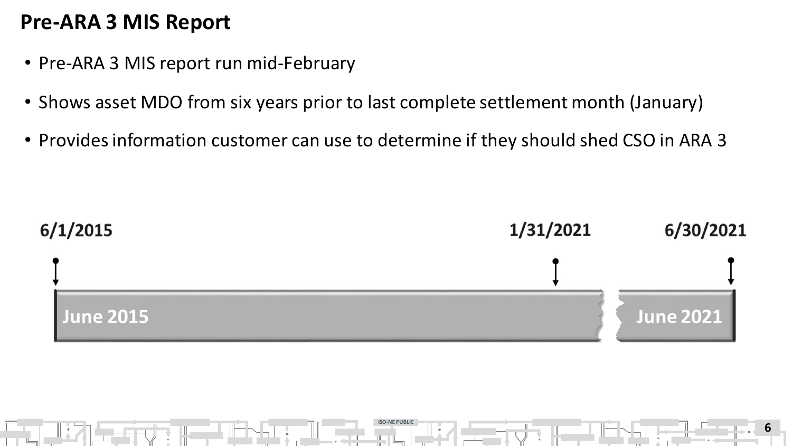#### **Pre-ARA 3 MIS Report**

- Pre-ARA 3 MIS report run mid-February
- Shows asset MDO from six years prior to last complete settlement month (January)
- Provides information customer can use to determine if they should shed CSO in ARA 3



**ISO-NE PUBLIC**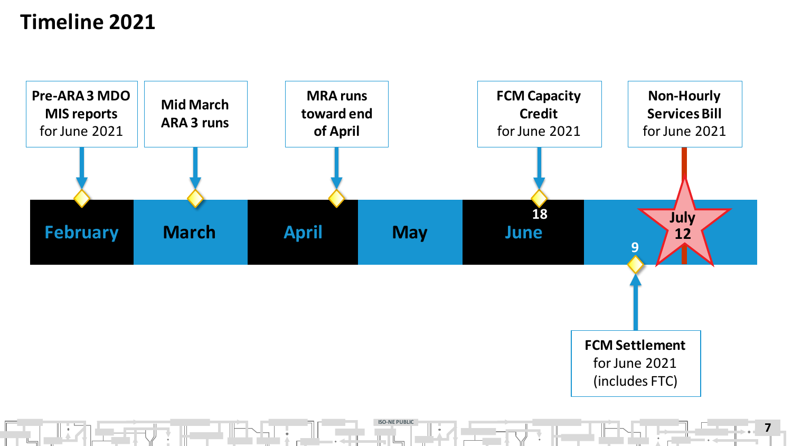#### **Timeline 2021**

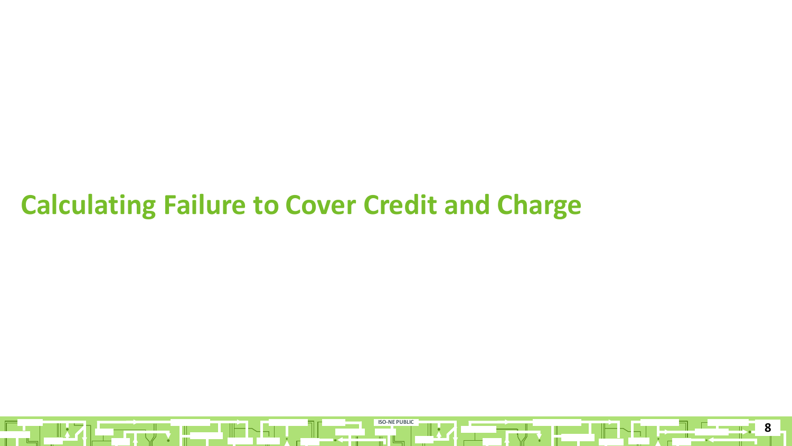### **Calculating Failure to Cover Credit and Charge**

 $\mathbb{R}$ 

H

- 90

 $\sim$ ul

**ISO-NE PUBLIC** 

**TIZ** 

**8**

 $\sim$ 

H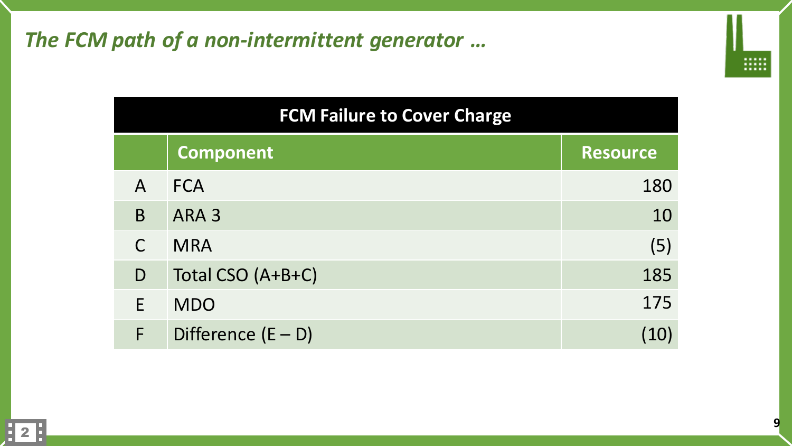#### *The FCM path of a non-intermittent generator …*

| <br> |
|------|
|      |

| <b>FCM Failure to Cover Charge</b> |  |  |  |  |
|------------------------------------|--|--|--|--|
|------------------------------------|--|--|--|--|

|              | <b>Component</b>     | <b>Resource</b> |
|--------------|----------------------|-----------------|
| $\mathsf{A}$ | <b>FCA</b>           | 180             |
| B            | ARA <sub>3</sub>     | 10              |
| $\mathsf{C}$ | <b>MRA</b>           | (5)             |
| D            | Total CSO (A+B+C)    | 185             |
|              | <b>MDO</b>           | 175             |
|              | Difference $(E - D)$ |                 |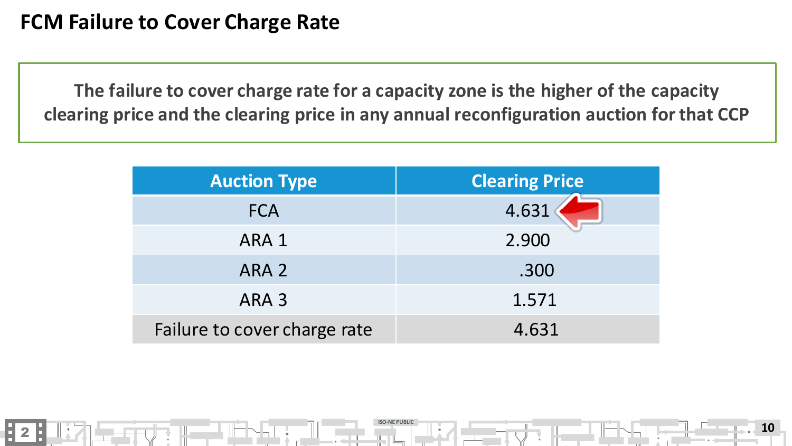2

**The failure to cover charge rate for a capacity zone is the higher of the capacity clearing price and the clearing price in any annual reconfiguration auction for that CCP**

| <b>Auction Type</b>          | <b>Clearing Price</b> |
|------------------------------|-----------------------|
| <b>FCA</b>                   | 4.631                 |
| ARA 1                        | 2.900                 |
| ARA <sub>2</sub>             | .300                  |
| ARA <sub>3</sub>             | 1.571                 |
| Failure to cover charge rate | 4.631                 |

**ISO-NE PUBLIC**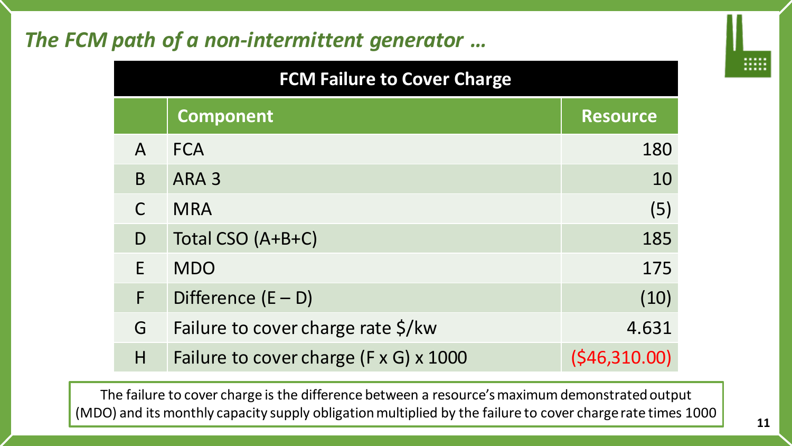#### *The FCM path of a non-intermittent generator …*

| <b>FCM Failure to Cover Charge</b> |                                                    |                 |  |
|------------------------------------|----------------------------------------------------|-----------------|--|
|                                    | <b>Component</b>                                   | <b>Resource</b> |  |
| $\mathsf{A}$                       | <b>FCA</b>                                         | 180             |  |
| B                                  | ARA <sub>3</sub>                                   | 10              |  |
|                                    | <b>MRA</b>                                         | (5)             |  |
| D                                  | Total CSO (A+B+C)                                  | 185             |  |
| F                                  | <b>MDO</b>                                         | 175             |  |
| F                                  | Difference $(E - D)$                               | (10)            |  |
| G                                  | Failure to cover charge rate \$/kw                 | 4.631           |  |
| H                                  | Failure to cover charge $(F \times G) \times 1000$ | (546,310.00)    |  |

The failure to cover charge is the difference between a resource's maximum demonstrated output (MDO) and its monthly capacity supply obligation multiplied by the failure to cover charge rate times 1000 .....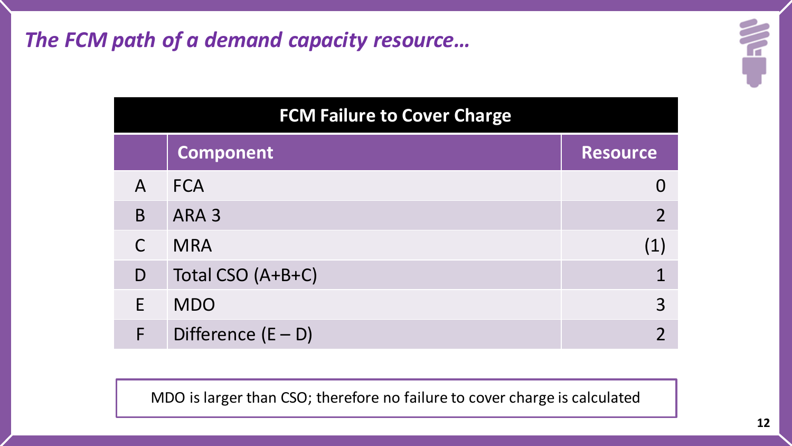*The FCM path of a demand capacity resource…* 

|              | <b>FCM Failure to Cover Charge</b> |                 |  |
|--------------|------------------------------------|-----------------|--|
|              | <b>Component</b>                   | <b>Resource</b> |  |
| $\mathsf{A}$ | <b>FCA</b>                         |                 |  |
| B            | ARA <sub>3</sub>                   | $\overline{2}$  |  |
| $\mathsf{C}$ | <b>MRA</b>                         | (1)             |  |
| D            | Total CSO (A+B+C)                  |                 |  |
| E            | <b>MDO</b>                         | 3               |  |
| F            | Difference $(E - D)$               |                 |  |

MDO is larger than CSO; therefore no failure to cover charge is calculated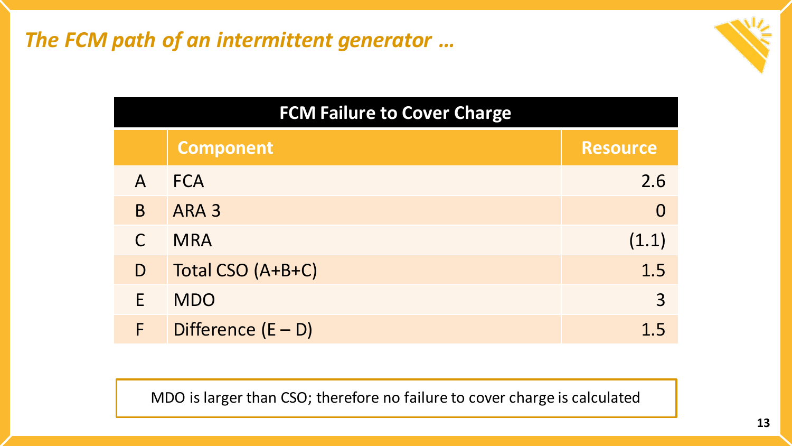*The FCM path of an intermittent generator …* 



#### **FCM Failure to Cover Charge**

|              | <b>Component</b>     | <b>Resource</b> |
|--------------|----------------------|-----------------|
| $\mathsf{A}$ | <b>FCA</b>           | 2.6             |
| B            | ARA <sub>3</sub>     |                 |
| $\mathsf{C}$ | <b>MRA</b>           | (1.1)           |
| D            | Total CSO (A+B+C)    | 1.5             |
| E            | <b>MDO</b>           | 3               |
| F            | Difference $(E - D)$ |                 |

MDO is larger than CSO; therefore no failure to cover charge is calculated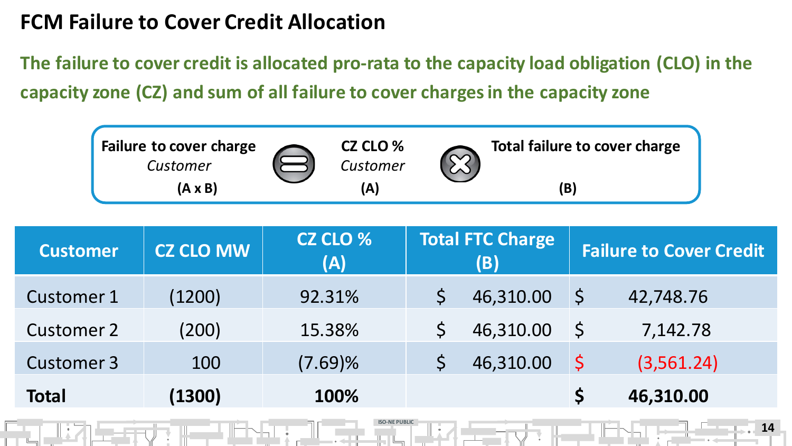#### **FCM Failure to Cover Credit Allocation**

**The failure to cover credit is allocated pro-rata to the capacity load obligation (CLO) in the capacity zone (CZ) and sum of all failure to cover charges in the capacity zone**



| <b>Customer</b>   | <b>CZ CLO MW</b> | CZ CLO %<br>(A) | <b>Total FTC Charge</b><br>(B) |         | <b>Failure to Cover Credit</b> |
|-------------------|------------------|-----------------|--------------------------------|---------|--------------------------------|
| <b>Customer 1</b> | (1200)           | 92.31%          | 46,310.00                      | S       | 42,748.76                      |
| <b>Customer 2</b> | (200)            | 15.38%          | 46,310.00                      | S.      | 7,142.78                       |
| <b>Customer 3</b> | 100              | $(7.69)\%$      | 46,310.00                      | $\zeta$ | (3,561.24)                     |
| <b>Total</b>      | (1300)           | 100%            |                                |         | 46,310.00                      |

**ISO-NE PUBLIC**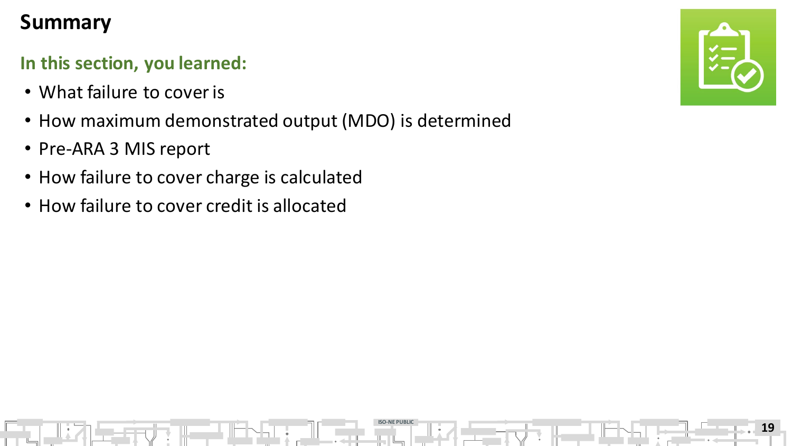#### **Summary**

#### **In this section, you learned:**

- What failure to cover is
- How maximum demonstrated output (MDO) is determined

**ISO-NE PUBLIC**

- Pre-ARA 3 MIS report
- How failure to cover charge is calculated
- How failure to cover credit is allocated